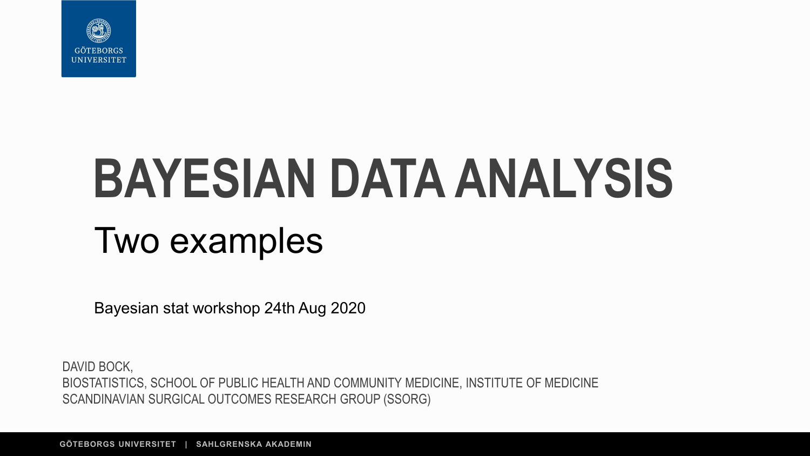

# **BAYESIAN DATA ANALYSIS** Two examples

Bayesian stat workshop 24th Aug 2020

DAVID BOCK, BIOSTATISTICS, SCHOOL OF PUBLIC HEALTH AND COMMUNITY MEDICINE, INSTITUTE OF MEDICINE SCANDINAVIAN SURGICAL OUTCOMES RESEARCH GROUP (SSORG)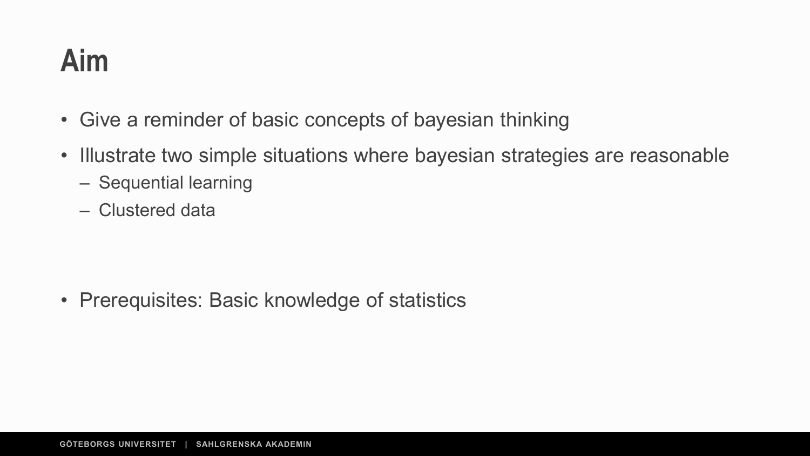#### **Aim**

- Give a reminder of basic concepts of bayesian thinking
- Illustrate two simple situations where bayesian strategies are reasonable
	- Sequential learning
	- Clustered data

• Prerequisites: Basic knowledge of statistics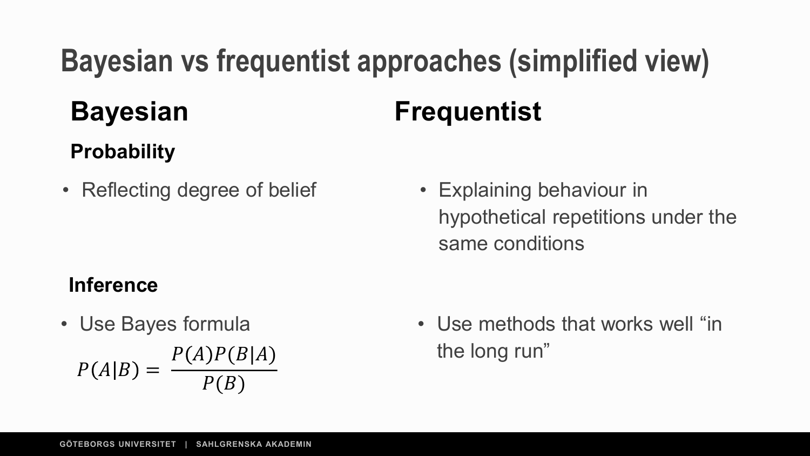# **Bayesian vs frequentist approaches (simplified view) Bayesian Frequentist**

#### **Probability**

- Reflecting degree of belief Explaining behaviour in
	- hypothetical repetitions under the same conditions

#### **Inference**

- $P(A|B) =$  $P(A)P(B|A)$  $P(B)$
- Use Bayes formula Use methods that works well "in the long run"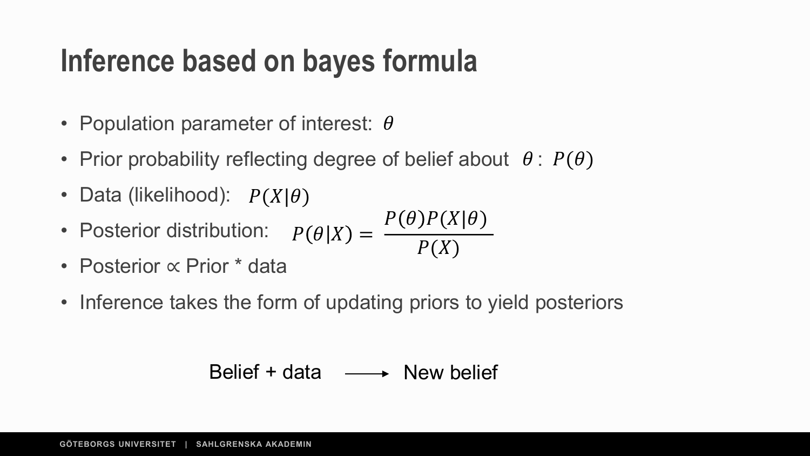#### **Inference based on bayes formula**

- Population parameter of interest:  $\theta$
- Prior probability reflecting degree of belief about  $\theta$ :  $P(\theta)$
- Data (likelihood):  $P(X|\theta)$
- Posterior distribution:  $P(\theta|X) =$  $P(\theta)P(X|\theta)$  $P(X)$
- Posterior ∝ Prior \* data
- Inference takes the form of updating priors to yield posteriors

$$
Belief + data \longrightarrow New belief
$$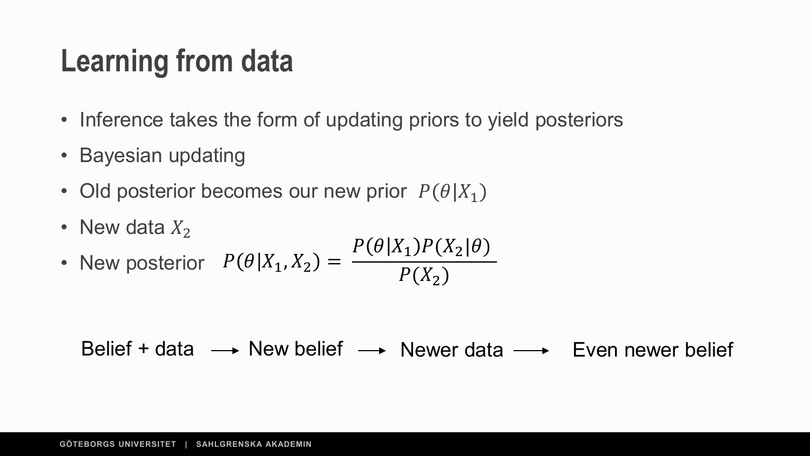#### **Learning from data**

- Inference takes the form of updating priors to yield posteriors
- Bayesian updating
- Old posterior becomes our new prior  $P(\theta|X_1)$
- New data  $X_2$

• New posterior 
$$
P(\theta|X_1, X_2) = \frac{P(\theta|X_1)P(X_2|\theta)}{P(X_2)}
$$

Belief + data  $\longrightarrow$  New belief  $\longrightarrow$  Newer data  $\longrightarrow$  Even newer belief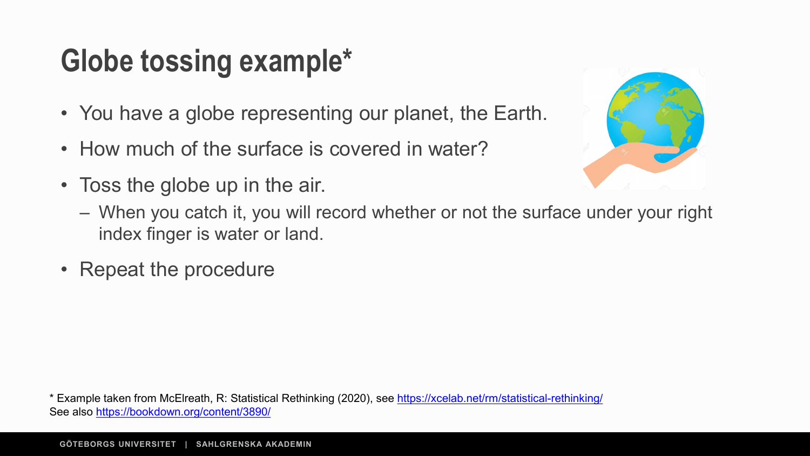### **Globe tossing example\***

- You have a globe representing our planet, the Earth.
- How much of the surface is covered in water?
- Toss the globe up in the air.



- When you catch it, you will record whether or not the surface under your right index finger is water or land.
- Repeat the procedure

\* Example taken from McElreath, R: Statistical Rethinking (2020), see <https://xcelab.net/rm/statistical-rethinking/> See also <https://bookdown.org/content/3890/>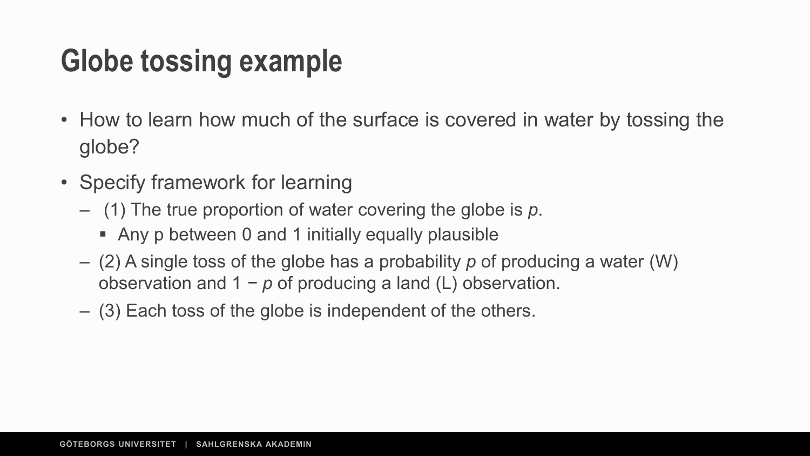#### **Globe tossing example**

- How to learn how much of the surface is covered in water by tossing the globe?
- Specify framework for learning
	- (1) The true proportion of water covering the globe is *p*.
		- Any p between 0 and 1 initially equally plausible
	- (2) A single toss of the globe has a probability *p* of producing a water (W) observation and 1 *− p* of producing a land (L) observation.
	- (3) Each toss of the globe is independent of the others.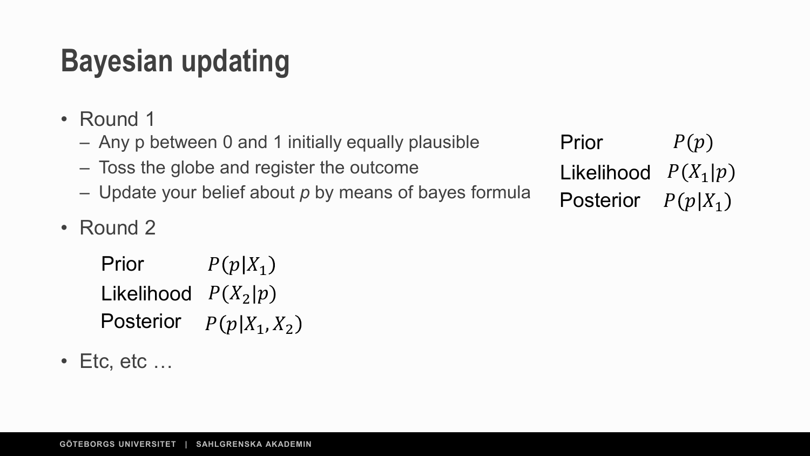### **Bayesian updating**

- Round 1
	- Any p between 0 and 1 initially equally plausible
	- Toss the globe and register the outcome
	- Update your belief about *p* by means of bayes formula
- Round 2

Prior Likelihood  $P(X_2|p)$ **Posterior**  $P(p|X_1)$  $P(p|X_1, X_2)$ 

 $\cdot$  Etc. etc  $\dots$ 

Prior Likelihood  $P(X_1|p)$  $P(p)$ Posterior  $P(p|X_1)$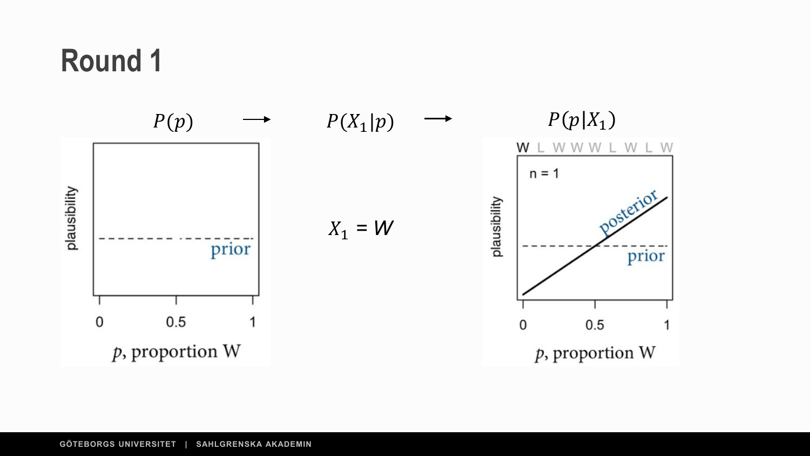

#### **GÖTEBORGS UNIVERSITET | SAHLGRENSKA AKADEMIN**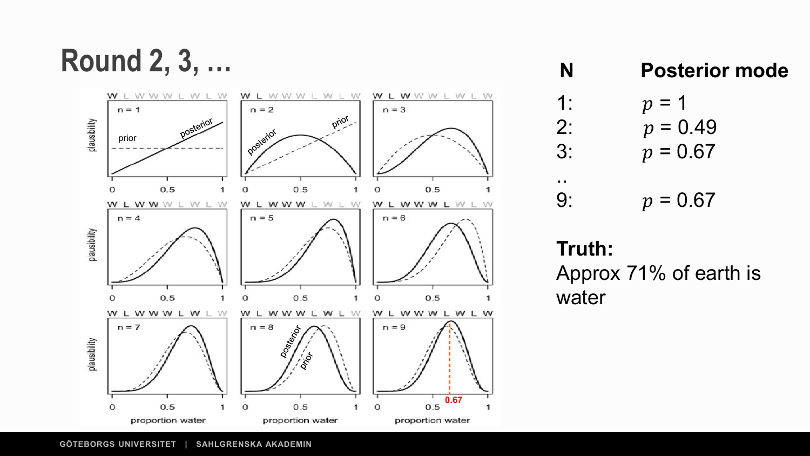**Round 2, 3, …**



#### **N Posterior mode**

- 1:  $p = 1$ <br>2:  $p = 0$ 2:  $p = 0.49$ <br>3:  $p = 0.67$  $p = 0.67$
- 9:  $p = 0.67$

#### **Truth:**

..

Approx 71% of earth is water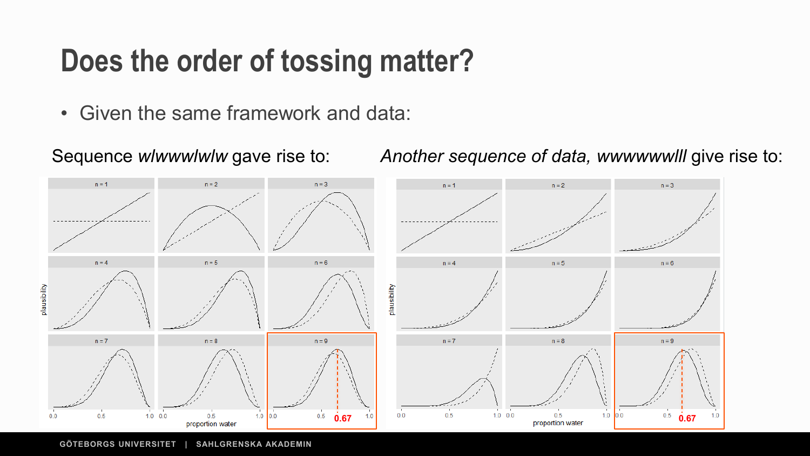#### **Does the order of tossing matter?**

• Given the same framework and data:

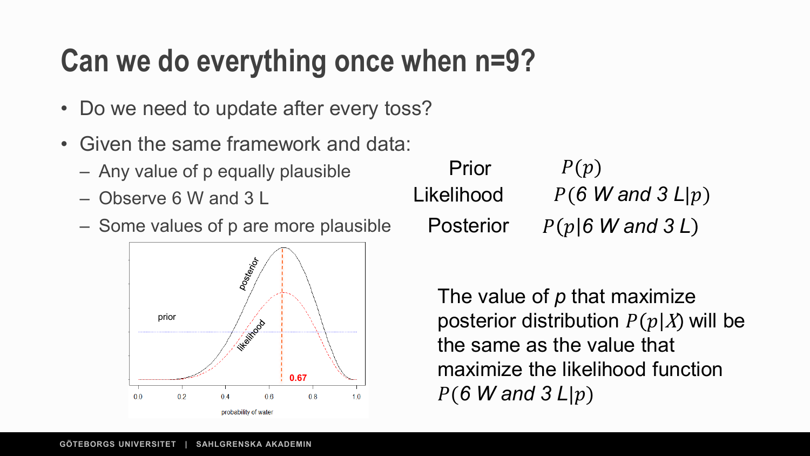#### **Can we do everything once when n=9?**

- Do we need to update after every toss?
- Given the same framework and data:
	- Any value of p equally plausible
	- Observe 6 W and 3 L
	- Some values of p are more plausible



| Prior            | P(p)                                |
|------------------|-------------------------------------|
| Likelihood       | $P(6 \text{ W and } 3 \text{ L} p)$ |
| <b>Posterior</b> | $P(p 6$ W and 3 L)                  |

The value of *p* that maximize posterior distribution  $P(p|X)$  will be the same as the value that maximize the likelihood function  $P(6 \text{ W and } 3 \text{ L}|p)$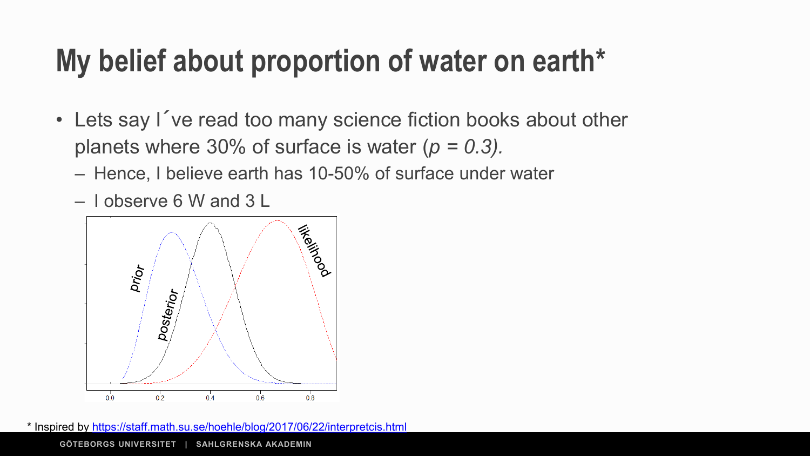#### **My belief about proportion of water on earth\***

- Lets say I´ve read too many science fiction books about other planets where 30% of surface is water (*p = 0.3).* 
	- Hence, I believe earth has 10-50% of surface under water
	- I observe 6 W and 3 L



\* Inspired by <https://staff.math.su.se/hoehle/blog/2017/06/22/interpretcis.html>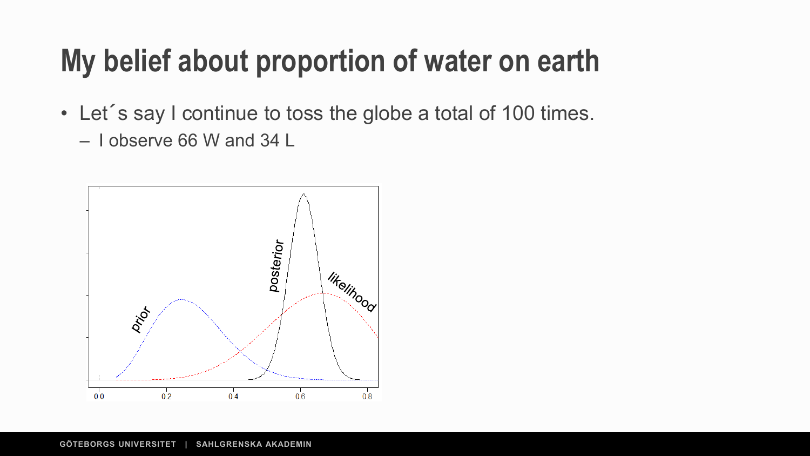#### **My belief about proportion of water on earth**

- Let´s say I continue to toss the globe a total of 100 times.
	- I observe 66 W and 34 L

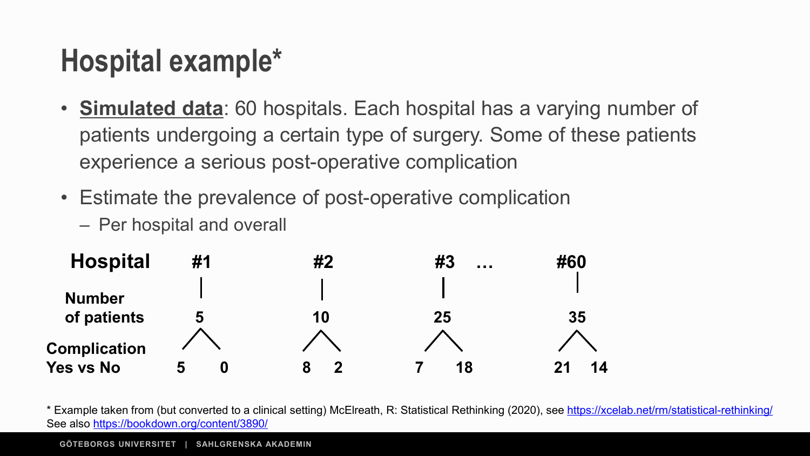### **Hospital example\***

- **Simulated data**: 60 hospitals. Each hospital has a varying number of patients undergoing a certain type of surgery. Some of these patients experience a serious post-operative complication
- Estimate the prevalence of post-operative complication
	- Per hospital and overall



\* Example taken from (but converted to a clinical setting) McElreath, R: Statistical Rethinking (2020), see <https://xcelab.net/rm/statistical-rethinking/> See also <https://bookdown.org/content/3890/>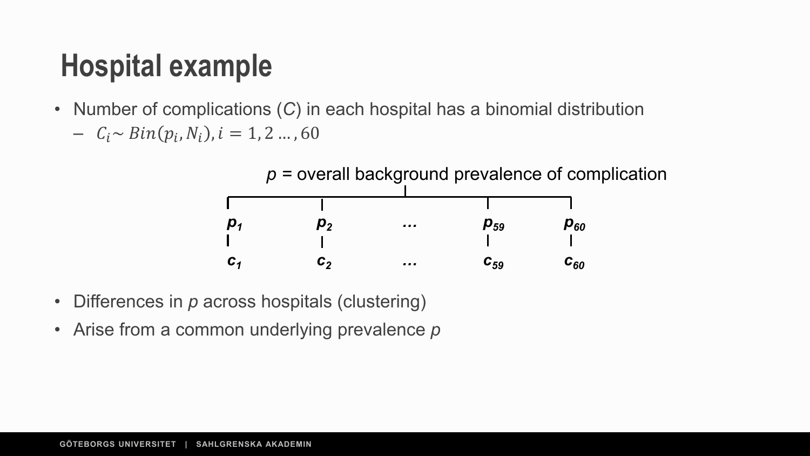#### **Hospital example**

- Number of complications (*C*) in each hospital has a binomial distribution
	- $C_i \sim Bin(p_i, N_i), i = 1, 2, ..., 60$

*p =* overall background prevalence of complication

| $\boldsymbol{p}_1$ | $J_2$ | $\cdots$ | $\boldsymbol{p}_{59}$ | $\boldsymbol{p_{60}}$ |
|--------------------|-------|----------|-----------------------|-----------------------|
|                    |       |          |                       |                       |
| $C_{1}$            | С,    | $\cdots$ | $\bm{c}_{59}$         | $\bm{c}_{\bm{60}}$    |

- Differences in *p* across hospitals (clustering)
- Arise from a common underlying prevalence *p*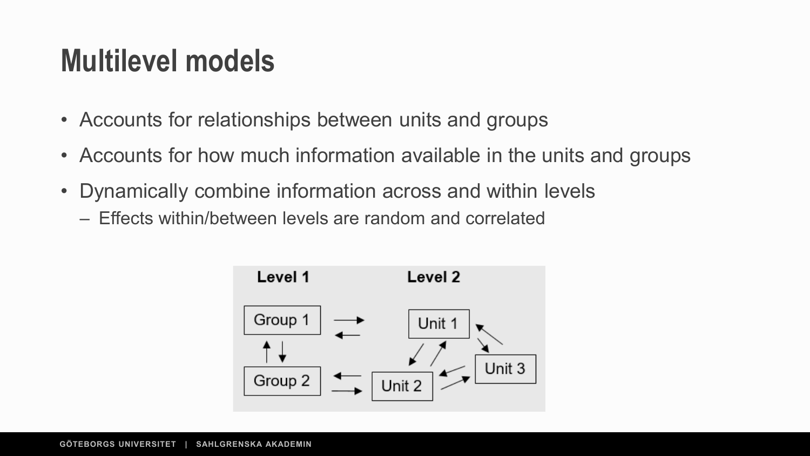#### **Multilevel models**

- Accounts for relationships between units and groups
- Accounts for how much information available in the units and groups
- Dynamically combine information across and within levels – Effects within/between levels are random and correlated

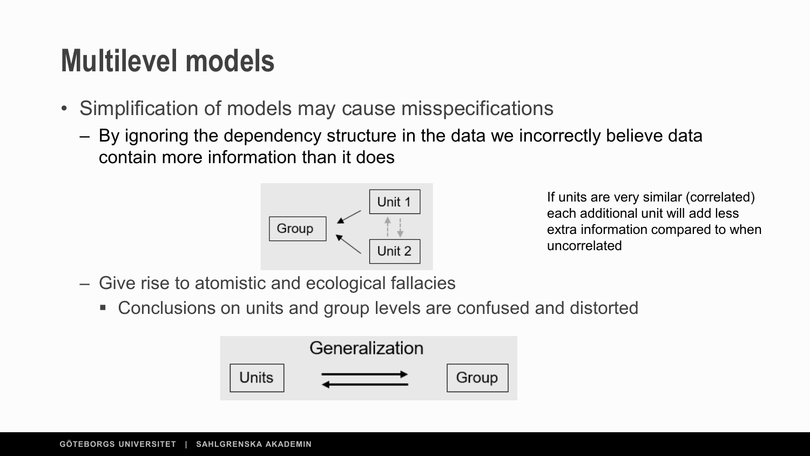#### **Multilevel models**

- Simplification of models may cause misspecifications
	- By ignoring the dependency structure in the data we incorrectly believe data contain more information than it does



If units are very similar (correlated) each additional unit will add less extra information compared to when uncorrelated

- Give rise to atomistic and ecological fallacies
	- Conclusions on units and group levels are confused and distorted

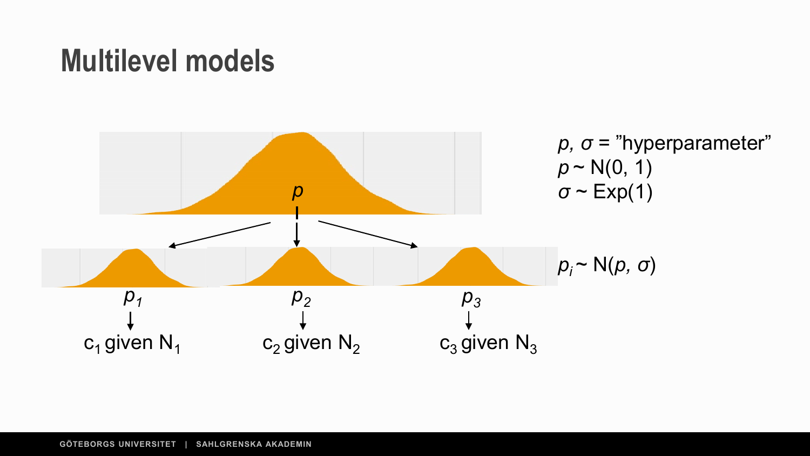#### **Multilevel models**

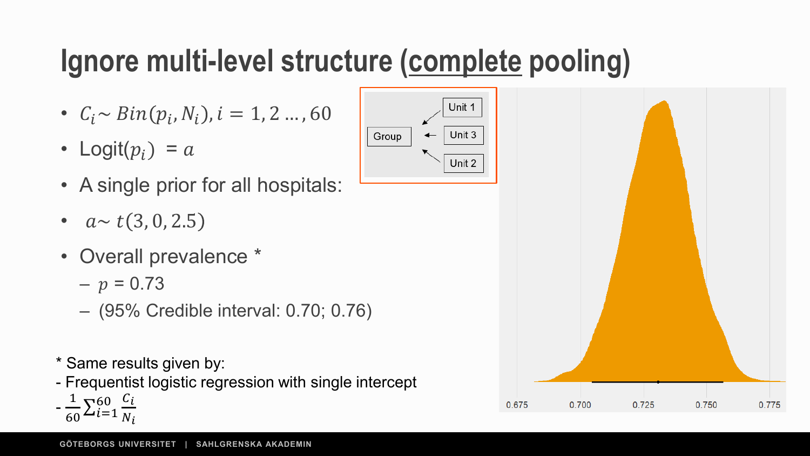## **Ignore multi-level structure (complete pooling)**

- $C_i \sim Bin(p_i, N_i), i = 1, 2 ..., 60$
- Logit $(p_i) = a$
- A single prior for all hospitals:
- $a \sim t(3, 0, 2.5)$
- Overall prevalence \*
	- $-p = 0.73$
	- (95% Credible interval: 0.70; 0.76)
- \* Same results given by:
- Frequentist logistic regression with single intercept
- $-\frac{1}{60}\sum_{i=1}^{60}\frac{C_i}{N_i}$  $N_i$



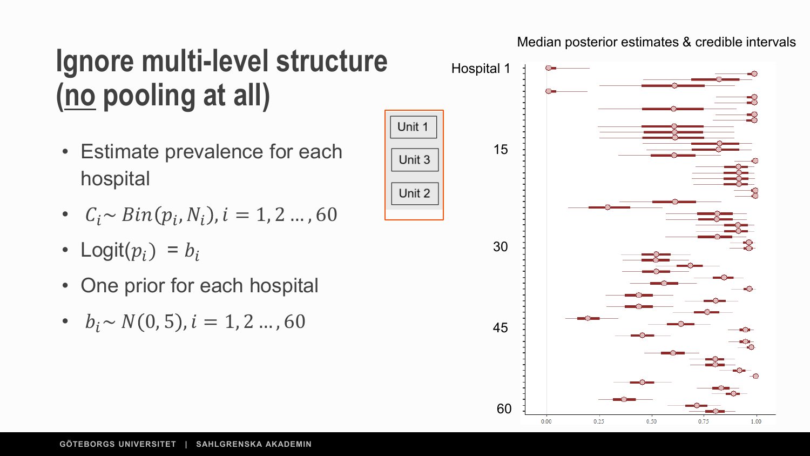#### Median posterior estimates & credible intervals

#### **Ignore multi-level structure (no pooling at all)**

Unit 1

Unit 3

Unit 2

- Estimate prevalence for each hospital
- $C_i \sim Bin(p_i, N_i), i = 1, 2 ..., 60$
- Logit $(p_i) = b_i$
- One prior for each hospital
- $b_i \sim N(0, 5)$ ,  $i = 1, 2, ..., 60$

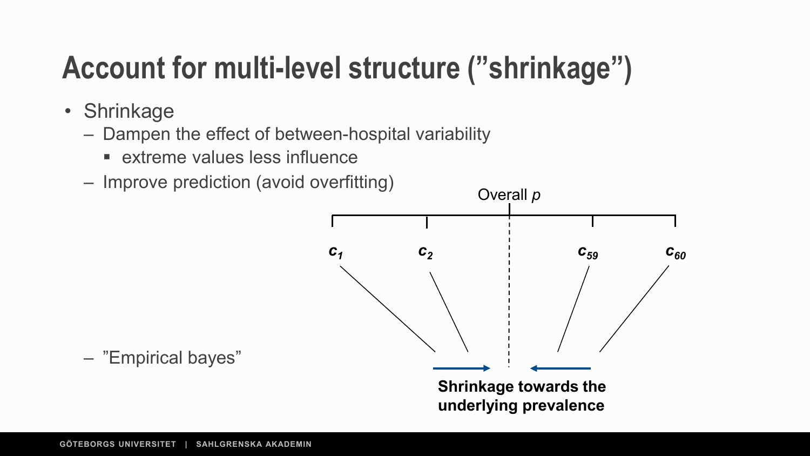### **Account for multi-level structure ("shrinkage")**

- Shrinkage
	- Dampen the effect of between-hospital variability
		- **Extreme values less influence**
	- Improve prediction (avoid overfitting)



– "Empirical bayes"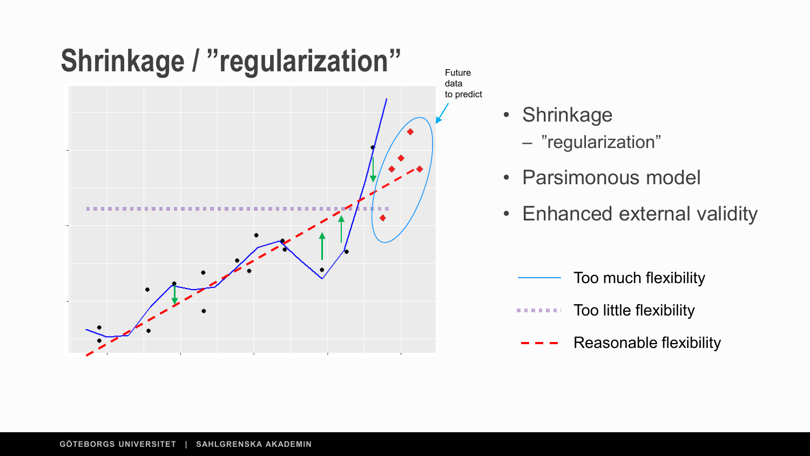

to predict

- Shrinkage
	- "regularization"
- Parsimonous model
- Enhanced external validity
	- Too much flexibility
	- Too little flexibility . . . .
		- Reasonable flexibility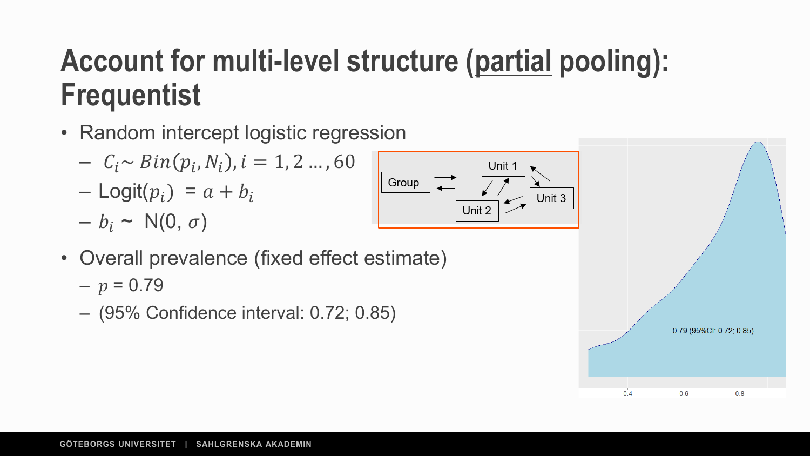#### **Account for multi-level structure (partial pooling): Frequentist**

- Random intercept logistic regression
	- $C_i \sim Bin(p_i, N_i), i = 1, 2 ..., 60$
	- $-$  Logit $(p_i) = a + b_i$
	- $b_i \sim N(0, \sigma)$



- Overall prevalence (fixed effect estimate)
	- $p = 0.79$
	- (95% Confidence interval: 0.72; 0.85)

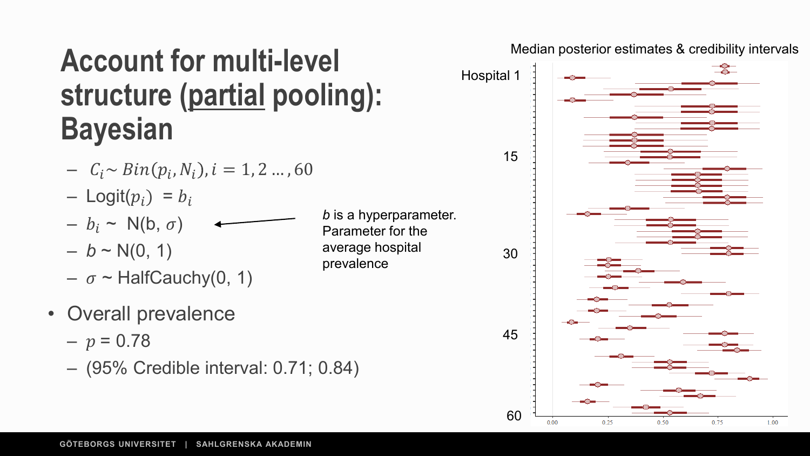#### **Account for multi-level structure (partial pooling): Bayesian**

$$
- C_i \sim Bin(p_i, N_i), i = 1, 2 ..., 60
$$

- $-$  Logit $(p_i) = b_i$
- $b_i \sim N(b, \sigma)$
- $b \sim N(0, 1)$
- $\sigma$  ~ HalfCauchy(0, 1)
- Overall prevalence
	- $-p = 0.78$
	- (95% Credible interval: 0.71; 0.84)

*b* is a hyperparameter. Parameter for the average hospital prevalence



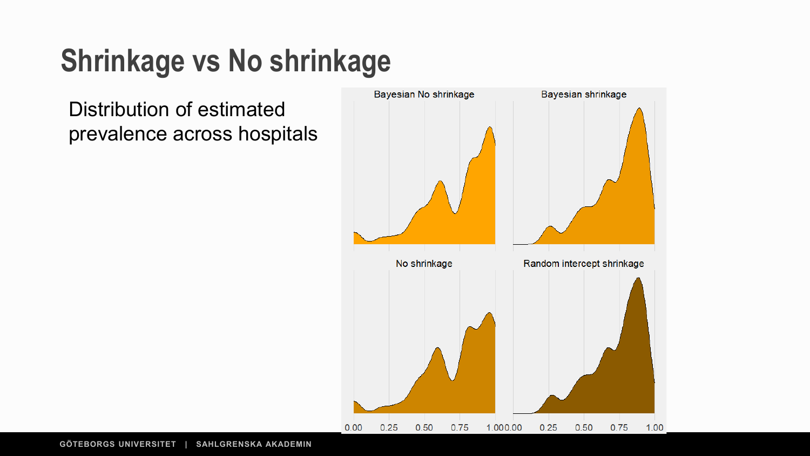## **Shrinkage vs No shrinkage**

Distribution of estimated prevalence across hospitals

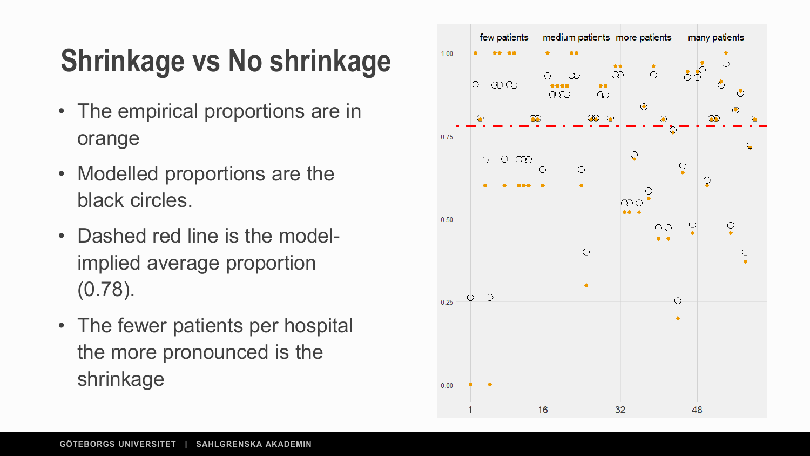## **Shrinkage vs No shrinkage**

- The empirical proportions are in orange
- Modelled proportions are the black circles.
- Dashed red line is the modelimplied average proportion (0.78).
- The fewer patients per hospital the more pronounced is the shrinkage

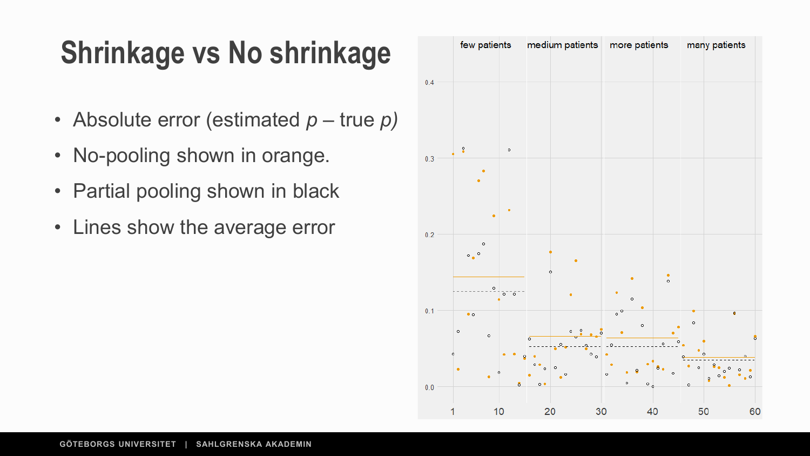#### **Shrinkage vs No shrinkage**

- Absolute error (estimated *p –* true *p)*
- No-pooling shown in orange.
- Partial pooling shown in black
- Lines show the average error

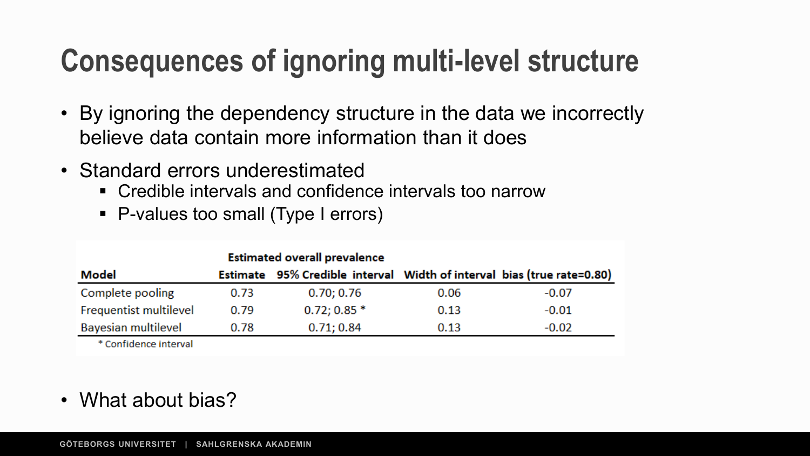### **Consequences of ignoring multi-level structure**

- By ignoring the dependency structure in the data we incorrectly believe data contain more information than it does
- Standard errors underestimated
	- Credible intervals and confidence intervals too narrow
	- P-values too small (Type I errors)

|                            | <b>Estimated overall prevalence</b> |                                                                        |      |         |
|----------------------------|-------------------------------------|------------------------------------------------------------------------|------|---------|
| Model                      |                                     | Estimate 95% Credible interval Width of interval bias (true rate=0.80) |      |         |
| Complete pooling           | 0.73                                | 0.70; 0.76                                                             | 0.06 | $-0.07$ |
| Frequentist multilevel     | 0.79                                | $0.72; 0.85*$                                                          | 0.13 | $-0.01$ |
| <b>Bayesian multilevel</b> | 0.78                                | 0.71; 0.84                                                             | 0.13 | $-0.02$ |
| * Confidence interval      |                                     |                                                                        |      |         |

• What about bias?